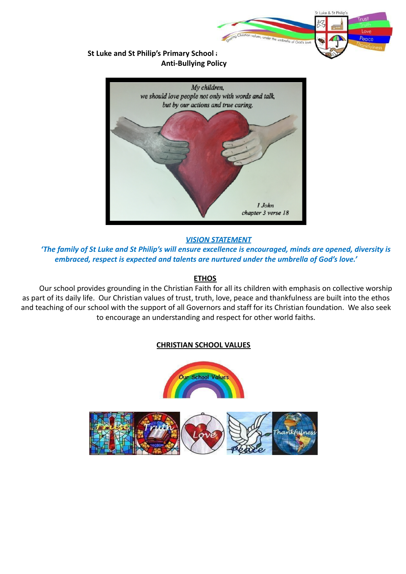**St Luke and St Philip's Primary School a Anti-Bullying Policy**



St Luke & St Philin

mbrella of God's I

# *VISION STATEMENT*

*'The family of St Luke and St Philip's will ensure excellence is encouraged, minds are opened, diversity is embraced, respect is expected and talents are nurtured under the umbrella of God's love.'*

# **ETHOS**

Our school provides grounding in the Christian Faith for all its children with emphasis on collective worship as part of its daily life. Our Christian values of trust, truth, love, peace and thankfulness are built into the ethos and teaching of our school with the support of all Governors and staff for its Christian foundation. We also seek to encourage an understanding and respect for other world faiths.

# **CHRISTIAN SCHOOL VALUES**



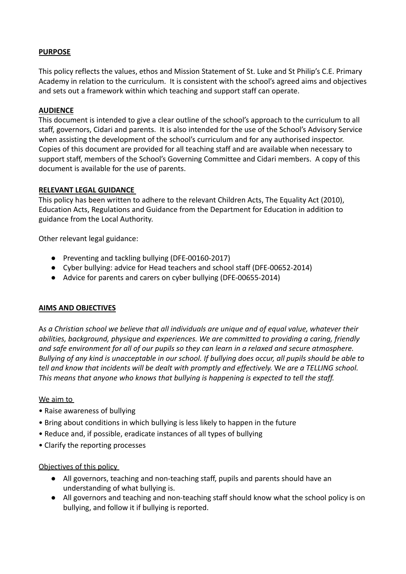# **PURPOSE**

This policy reflects the values, ethos and Mission Statement of St. Luke and St Philip's C.E. Primary Academy in relation to the curriculum. It is consistent with the school's agreed aims and objectives and sets out a framework within which teaching and support staff can operate.

#### **AUDIENCE**

This document is intended to give a clear outline of the school's approach to the curriculum to all staff, governors, Cidari and parents. It is also intended for the use of the School's Advisory Service when assisting the development of the school's curriculum and for any authorised inspector. Copies of this document are provided for all teaching staff and are available when necessary to support staff, members of the School's Governing Committee and Cidari members. A copy of this document is available for the use of parents.

#### **RELEVANT LEGAL GUIDANCE**

This policy has been written to adhere to the relevant Children Acts, The Equality Act (2010), Education Acts, Regulations and Guidance from the Department for Education in addition to guidance from the Local Authority.

Other relevant legal guidance:

- Preventing and tackling bullying (DFE-00160-2017)
- Cyber bullying: advice for Head teachers and school staff (DFE-00652-2014)
- Advice for parents and carers on cyber bullying (DFE-00655-2014)

# **AIMS AND OBJECTIVES**

A*s a Christian school we believe that all individuals are unique and of equal value, whatever their abilities, background, physique and experiences. We are committed to providing a caring, friendly and safe environment for all of our pupils so they can learn in a relaxed and secure atmosphere. Bullying of any kind is unacceptable in our school. If bullying does occur, all pupils should be able to tell and know that incidents will be dealt with promptly and effectively.* W*e are a TELLING school. This means that anyone who knows that bullying is happening is expected to tell the staff.*

#### We aim to

- Raise awareness of bullying
- Bring about conditions in which bullying is less likely to happen in the future
- Reduce and, if possible, eradicate instances of all types of bullying
- Clarify the reporting processes

# Objectives of this policy

- All governors, teaching and non-teaching staff, pupils and parents should have an understanding of what bullying is.
- All governors and teaching and non-teaching staff should know what the school policy is on bullying, and follow it if bullying is reported.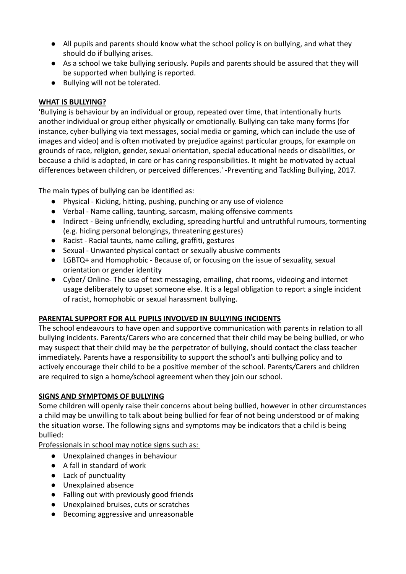- All pupils and parents should know what the school policy is on bullying, and what they should do if bullying arises.
- As a school we take bullying seriously. Pupils and parents should be assured that they will be supported when bullying is reported.
- Bullying will not be tolerated.

# **WHAT IS BULLYING?**

'Bullying is behaviour by an individual or group, repeated over time, that intentionally hurts another individual or group either physically or emotionally. Bullying can take many forms (for instance, cyber-bullying via text messages, social media or gaming, which can include the use of images and video) and is often motivated by prejudice against particular groups, for example on grounds of race, religion, gender, sexual orientation, special educational needs or disabilities, or because a child is adopted, in care or has caring responsibilities. It might be motivated by actual differences between children, or perceived differences.' -Preventing and Tackling Bullying, 2017*.*

The main types of bullying can be identified as:

- Physical Kicking, hitting, pushing, punching or any use of violence
- Verbal Name calling, taunting, sarcasm, making offensive comments
- Indirect Being unfriendly, excluding, spreading hurtful and untruthful rumours, tormenting (e.g. hiding personal belongings, threatening gestures)
- Racist Racial taunts, name calling, graffiti, gestures
- Sexual Unwanted physical contact or sexually abusive comments
- LGBTQ+ and Homophobic Because of, or focusing on the issue of sexuality, sexual orientation or gender identity
- Cyber/ Online- The use of text messaging, emailing, chat rooms, videoing and internet usage deliberately to upset someone else. It is a legal obligation to report a single incident of racist, homophobic or sexual harassment bullying.

# **PARENTAL SUPPORT FOR ALL PUPILS INVOLVED IN BULLYING INCIDENTS**

The school endeavours to have open and supportive communication with parents in relation to all bullying incidents. Parent*s*/Carers who are concerned that their child may be being bullied, or who may suspect that their child may be the perpetrator of bullying, should contact the class teacher immediately. Parents have a responsibility to support the school's anti bullying policy and to actively encourage their child to be a positive member of the school. Parents*/*Carers and children are required to sign a home*/*school agreement when they join our school.

# **SIGNS AND SYMPTOMS OF BULLYING**

Some children will openly raise their concerns about being bullied, however in other circumstances a child may be unwilling to talk about being bullied for fear of not being understood or of making the situation worse. The following signs and symptoms may be indicators that a child is being bullied:

Professionals in school may notice signs such as:

- Unexplained changes in behaviour
- A fall in standard of work
- Lack of punctuality
- Unexplained absence
- Falling out with previously good friends
- Unexplained bruises, cuts or scratches
- Becoming aggressive and unreasonable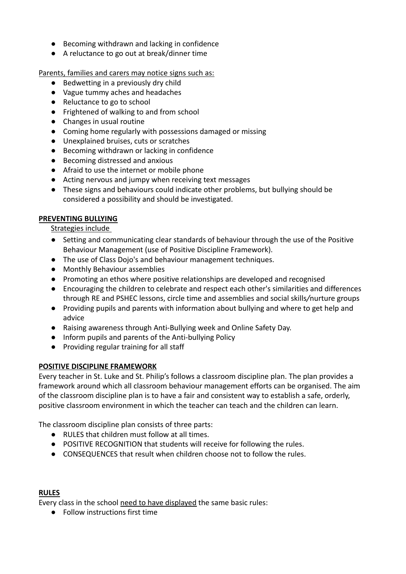- Becoming withdrawn and lacking in confidence
- A reluctance to go out at break/dinner time

Parents, families and carers may notice signs such as:

- Bedwetting in a previously dry child
- Vague tummy aches and headaches
- Reluctance to go to school
- Frightened of walking to and from school
- Changes in usual routine
- Coming home regularly with possessions damaged or missing
- Unexplained bruises, cuts or scratches
- Becoming withdrawn or lacking in confidence
- Becoming distressed and anxious
- Afraid to use the internet or mobile phone
- Acting nervous and jumpy when receiving text messages
- These signs and behaviours could indicate other problems, but bullying should be considered a possibility and should be investigated.

# **PREVENTING BULLYING**

Strategies include

- Setting and communicating clear standards of behaviour through the use of the Positive Behaviour Management (use of Positive Discipline Framework).
- The use of Class Dojo's and behaviour management techniques.
- Monthly Behaviour assemblies
- Promoting an ethos where positive relationships are developed and recognised
- Encouraging the children to celebrate and respect each other's similarities and differences through RE and PSHEC lessons, circle time and assemblies and social skills*/*nurture groups
- Providing pupils and parents with information about bullying and where to get help and advice
- Raising awareness through Anti-Bullying week and Online Safety Day.
- Inform pupils and parents of the Anti-bullying Policy
- Providing regular training for all staff

# **POSITIVE DISCIPLINE FRAMEWORK**

Every teacher in St. Luke and St. Philip's follows a classroom discipline plan. The plan provides a framework around which all classroom behaviour management efforts can be organised. The aim of the classroom discipline plan is to have a fair and consistent way to establish a safe, orderly, positive classroom environment in which the teacher can teach and the children can learn.

The classroom discipline plan consists of three parts:

- RULES that children must follow at all times.
- POSITIVE RECOGNITION that students will receive for following the rules.
- CONSEQUENCES that result when children choose not to follow the rules.

# **RULES**

Every class in the school need to have displayed the same basic rules:

● Follow instructions first time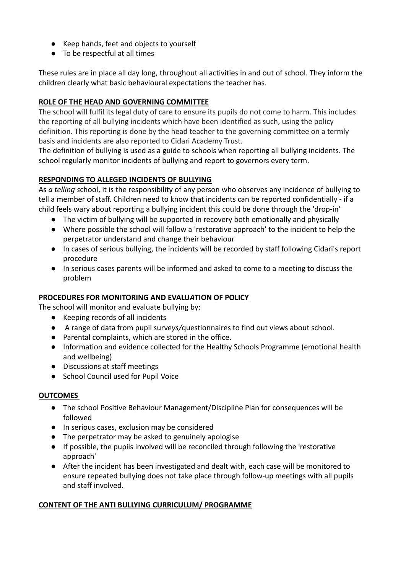- Keep hands, feet and objects to yourself
- To be respectful at all times

These rules are in place all day long, throughout all activities in and out of school. They inform the children clearly what basic behavioural expectations the teacher has.

# **ROLE OF THE HEAD AND GOVERNING COMMITTEE**

The school will fulfil its legal duty of care to ensure its pupils do not come to harm. This includes the reporting of all bullying incidents which have been identified as such, using the policy definition. This reporting is done by the head teacher to the governing committee on a termly basis and incidents are also reported to Cidari Academy Trust.

The definition of bullying is used as a guide to schools when reporting all bullying incidents. The school regularly monitor incidents of bullying and report to governors every term.

# **RESPONDING TO ALLEGED INCIDENTS OF BULLYING**

As *a telling s*chool, it is the responsibility of any person who observes any incidence of bullying to tell a member of staff. Children need to know that incidents can be reported confidentially - if a child feels wary about reporting a bullying incident this could be done through the 'drop-in'

- The victim of bullying will be supported in recovery both emotionally and physically
- Where possible the school will follow a 'restorative approach' to the incident to help the perpetrator understand and change their behaviour
- In cases of serious bullying, the incidents will be recorded by staff following Cidari's report procedure
- In serious cases parents will be informed and asked to come to a meeting to discuss the problem

# **PROCEDURES FOR MONITORING AND EVALU***A***TION OF POLICY**

The school will monitor and evaluate bullying by:

- Keeping records of all incidents
- A range of data from pupil surve*ys/*questionnaires to find out views about school.
- Parental complaints, which are stored in the office.
- Information and evidence collected for the Healthy Schools Programme (emotional health and wellbeing)
- Discussions at staff meetings
- School Council used for Pupil Voice

# **OUTCOMES**

- The school Positive Behaviour Management/Discipline Plan for consequences will be followed
- In serious cases, exclusion may be considered
- The perpetrator may be asked to genuinely apologise
- If possible, the pupils involved will be reconciled through following the 'restorative approach'
- After the incident has been investigated and dealt with, each case will be monitored to ensure repeated bullying does not take place through follow-up meetings with all pupils and staff involved.

# **CONTENT OF THE ANTI BULLYING CURRICULUM/ PROGRAMME**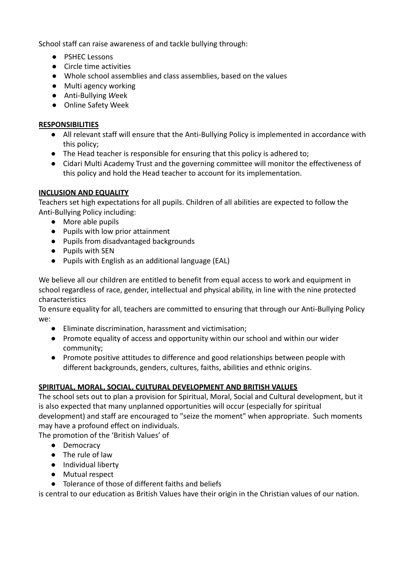School staff can raise awareness of and tackle bullying through:

- PSHEC Lessons
- Circle time activities
- Whole school assemblies and class assemblies, based on the values
- Multi agency working
- Anti-Bullying *W*eek
- Online Safety Week

#### **RESPONSIBILITIES**

- All relevant staff will ensure that the Anti-Bullying Policy is implemented in accordance with this policy;
- The Head teacher is responsible for ensuring that this policy is adhered to;
- Cidari Multi Academy Trust and the governing committee will monitor the effectiveness of this policy and hold the Head teacher to account for its implementation.

#### **INCLUSION AND EQUALITY**

Teachers set high expectations for all pupils. Children of all abilities are expected to follow the Anti-Bullying Policy including:

- More able pupils
- Pupils with low prior attainment
- Pupils from disadvantaged backgrounds
- Pupils with SEN
- Pupils with English as an additional language (EAL)

We believe all our children are entitled to benefit from equal access to work and equipment in school regardless of race, gender, intellectual and physical ability, in line with the nine protected characteristics

To ensure equality for all, teachers are committed to ensuring that through our Anti-Bullying Policy we:

- Eliminate discrimination, harassment and victimisation;
- Promote equality of access and opportunity within our school and within our wider community;
- Promote positive attitudes to difference and good relationships between people with different backgrounds, genders, cultures, faiths, abilities and ethnic origins.

# **SPIRITUAL, MORAL, SOCIAL, CULTURAL DEVELOPMENT AND BRITISH VALUES**

The school sets out to plan a provision for Spiritual, Moral, Social and Cultural development, but it is also expected that many unplanned opportunities will occur (especially for spiritual development) and staff are encouraged to "seize the moment" when appropriate. Such moments may have a profound effect on individuals.

The promotion of the 'British Values' of

- Democracy
- The rule of law
- Individual liberty
- Mutual respect
- Tolerance of those of different faiths and beliefs

is central to our education as British Values have their origin in the Christian values of our nation.